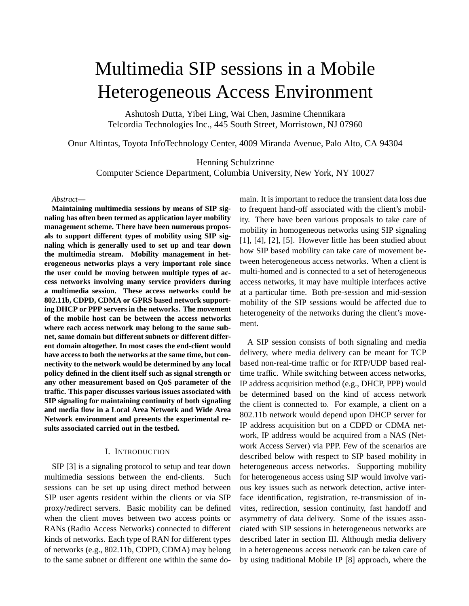# Multimedia SIP sessions in a Mobile Heterogeneous Access Environment

Ashutosh Dutta, Yibei Ling, Wai Chen, Jasmine Chennikara Telcordia Technologies Inc., 445 South Street, Morristown, NJ 07960

Onur Altintas, Toyota InfoTechnology Center, 4009 Miranda Avenue, Palo Alto, CA 94304

Henning Schulzrinne

Computer Science Department, Columbia University, New York, NY 10027

#### *Abstract***—**

**Maintaining multimedia sessions by means of SIP signaling has often been termed as application layer mobility management scheme. There have been numerous proposals to support different types of mobility using SIP signaling which is generally used to set up and tear down the multimedia stream. Mobility management in heterogeneous networks plays a very important role since the user could be moving between multiple types of access networks involving many service providers during a multimedia session. These access networks could be 802.11b, CDPD, CDMA or GPRS based network supporting DHCP or PPP servers in the networks. The movement of the mobile host can be between the access networks where each access network may belong to the same subnet, same domain but different subnets or different different domain altogether. In most cases the end-client would have accessto both the networks at the same time, but connectivity to the network would be determined by any local policy defined in the client itself such as signal strength or any other measurement based on QoS parameter of the traffic. This paper discusses various issues associated with SIP signaling for maintaining continuity of both signaling and media flow in a Local Area Network and Wide Area Network environment and presents the experimental results associated carried out in the testbed.**

# I. INTRODUCTION

SIP [3] is a signaling protocol to setup and tear down multimedia sessions between the end-clients. Such sessions can be set up using direct method between SIP user agents resident within the clients or via SIP proxy/redirect servers. Basic mobility can be defined when the client moves between two access points or RANs (Radio Access Networks) connected to different kinds of networks. Each type of RAN for different types of networks (e.g., 802.11b, CDPD, CDMA) may belong to the same subnet or different one within the same domain. It is important to reduce the transient data loss due to frequent hand-off associated with the client's mobility. There have been various proposals to take care of mobility in homogeneous networks using SIP signaling [1], [4], [2], [5]. However little has been studied about how SIP based mobility can take care of movement between heterogeneous access networks. When a client is multi-homed and is connected to a set of heterogeneous access networks, it may have multiple interfaces active at a particular time. Both pre-session and mid-session mobility of the SIP sessions would be affected due to heterogeneity of the networks during the client's movement.

A SIP session consists of both signaling and media delivery, where media delivery can be meant for TCP based non-real-time traffic or for RTP/UDP based realtime traffic. While switching between access networks, IP address acquisition method (e.g., DHCP, PPP) would be determined based on the kind of access network the client is connected to. For example, a client on a 802.11b network would depend upon DHCP server for IP address acquisition but on a CDPD or CDMA network, IP address would be acquired from a NAS (Network Access Server) via PPP. Few of the scenarios are described below with respect to SIP based mobility in heterogeneous access networks. Supporting mobility for heterogeneous access using SIP would involve various key issues such as network detection, active interface identification, registration, re-transmission of invites, redirection, session continuity, fast handoff and asymmetry of data delivery. Some of the issues associated with SIP sessions in heterogeneous networks are described later in section III. Although media delivery in a heterogeneous access network can be taken care of by using traditional Mobile IP [8] approach, where the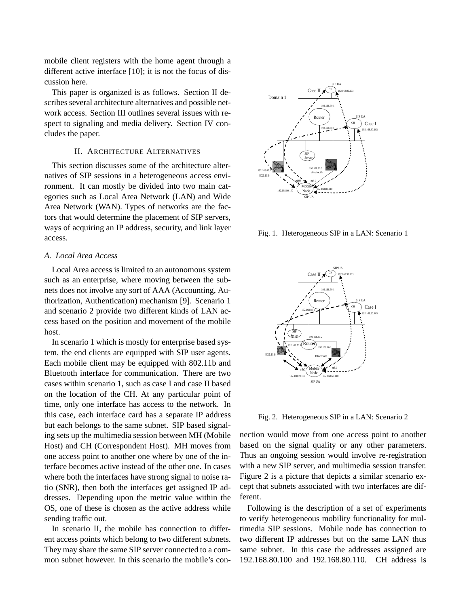mobile client registers with the home agent through a different active interface [10]; it is not the focus of discussion here.

This paper is organized is as follows. Section II describes several architecture alternatives and possible network access. Section III outlines several issues with respect to signaling and media delivery. Section IV concludes the paper.

# II. ARCHITECTURE ALTERNATIVES

This section discusses some of the architecture alternatives of SIP sessions in a heterogeneous access environment. It can mostly be divided into two main categories such as Local Area Network (LAN) and Wide Area Network (WAN). Types of networks are the factors that would determine the placement of SIP servers, ways of acquiring an IP address, security, and link layer access.

### *A. Local Area Access*

Local Area access is limited to an autonomous system such as an enterprise, where moving between the subnets does not involve any sort of AAA (Accounting, Authorization, Authentication) mechanism [9]. Scenario 1 and scenario 2 provide two different kinds of LAN access based on the position and movement of the mobile host.

In scenario 1 which is mostly for enterprise based system, the end clients are equipped with SIP user agents. Each mobile client may be equipped with 802.11b and Bluetooth interface for communication. There are two cases within scenario 1, such as case I and case II based on the location of the CH. At any particular point of time, only one interface has access to the network. In this case, each interface card has a separate IP address but each belongs to the same subnet. SIP based signaling sets up the multimedia session between MH (Mobile Host) and CH (Correspondent Host). MH moves from one access point to another one where by one of the interface becomes active instead of the other one. In cases where both the interfaces have strong signal to noise ratio (SNR), then both the interfaces get assigned IP addresses. Depending upon the metric value within the OS, one of these is chosen as the active address while sending traffic out.

In scenario II, the mobile has connection to different access points which belong to two different subnets. They may share the same SIP server connected to a common subnet however. In this scenario the mobile's con-



Fig. 1. Heterogeneous SIP in a LAN: Scenario 1



Fig. 2. Heterogeneous SIP in a LAN: Scenario 2

nection would move from one access point to another based on the signal quality or any other parameters. Thus an ongoing session would involve re-registration with a new SIP server, and multimedia session transfer. Figure 2 is a picture that depicts a similar scenario except that subnets associated with two interfaces are different.

Following is the description of a set of experiments to verify heterogeneous mobility functionality for multimedia SIP sessions. Mobile node has connection to two different IP addresses but on the same LAN thus same subnet. In this case the addresses assigned are 192.168.80.100 and 192.168.80.110. CH address is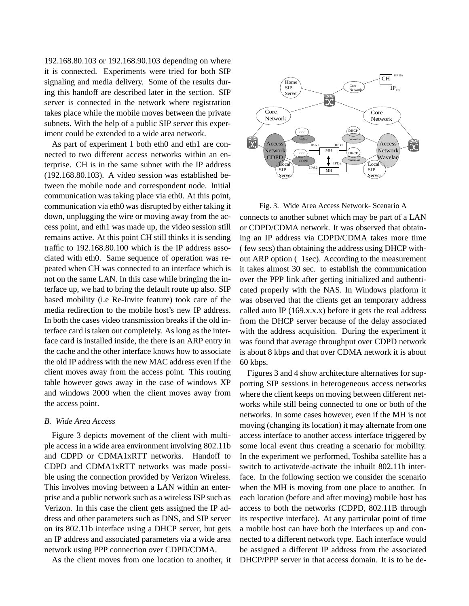192.168.80.103 or 192.168.90.103 depending on where it is connected. Experiments were tried for both SIP signaling and media delivery. Some of the results during this handoff are described later in the section. SIP server is connected in the network where registration takes place while the mobile moves between the private subnets. With the help of a public SIP server this experiment could be extended to a wide area network.

As part of experiment 1 both eth0 and eth1 are connected to two different access networks within an enterprise. CH is in the same subnet with the IP address (192.168.80.103). A video session was established between the mobile node and correspondent node. Initial communication was taking place via eth0. At this point, communication via eth0 was disrupted by either taking it down, unplugging the wire or moving away from the access point, and eth1 was made up, the video session still remains active. At this point CH still thinks it is sending traffic to 192.168.80.100 which is the IP address associated with eth0. Same sequence of operation was repeated when CH was connected to an interface which is not on the same LAN. In this case while bringing the interface up, we had to bring the default route up also. SIP based mobility (i.e Re-Invite feature) took care of the media redirection to the mobile host's new IP address. In both the cases video transmission breaks if the old interface card is taken out completely. As long as the interface card is installed inside, the there is an ARP entry in the cache and the other interface knows how to associate the old IP address with the new MAC address even if the client moves away from the access point. This routing table however gows away in the case of windows XP and windows 2000 when the client moves away from the access point.

#### *B. Wide Area Access*

Figure 3 depicts movement of the client with multiple access in a wide area environment involving 802.11b and CDPD or CDMA1xRTT networks. Handoff to CDPD and CDMA1xRTT networks was made possible using the connection provided by Verizon Wireless. This involves moving between a LAN within an enterprise and a public network such as a wireless ISP such as Verizon. In this case the client gets assigned the IP address and other parameters such as DNS, and SIP server on its 802.11b interface using a DHCP server, but gets an IP address and associated parameters via a wide area network using PPP connection over CDPD/CDMA.

As the client moves from one location to another, it



Fig. 3. Wide Area Access Network- Scenario A connects to another subnet which may be part of a LAN or CDPD/CDMA network. It was observed that obtaining an IP address via CDPD/CDMA takes more time ( few secs) than obtaining the address using DHCP without ARP option ( 1sec). According to the measurement it takes almost 30 sec. to establish the communication over the PPP link after getting initialized and authenticated properly with the NAS. In Windows platform it was observed that the clients get an temporary address called auto IP  $(169.x.x.x)$  before it gets the real address from the DHCP server because of the delay associated with the address acquisition. During the experiment it was found that average throughput over CDPD network is about 8 kbps and that over CDMA network it is about 60 kbps.

Figures 3 and 4 show architecture alternatives for supporting SIP sessions in heterogeneous access networks where the client keeps on moving between different networks while still being connected to one or both of the networks. In some cases however, even if the MH is not moving (changing its location) it may alternate from one access interface to another access interface triggered by some local event thus creating a scenario for mobility. In the experiment we performed, Toshiba satellite has a switch to activate/de-activate the inbuilt 802.11b interface. In the following section we consider the scenario when the MH is moving from one place to another. In each location (before and after moving) mobile host has access to both the networks (CDPD, 802.11B through its respective interface). At any particular point of time a mobile host can have both the interfaces up and connected to a different network type. Each interface would be assigned a different IP address from the associated DHCP/PPP server in that access domain. It is to be de-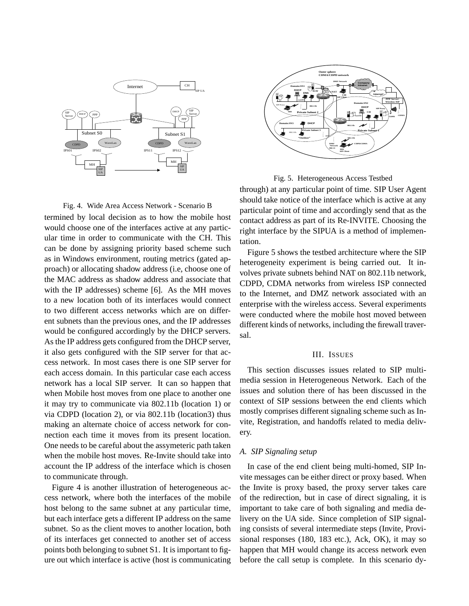

Fig. 4. Wide Area Access Network - Scenario B termined by local decision as to how the mobile host would choose one of the interfaces active at any particular time in order to communicate with the CH. This can be done by assigning priority based scheme such as in Windows environment, routing metrics (gated approach) or allocating shadow address (i.e, choose one of the MAC address as shadow address and associate that with the IP addresses) scheme [6]. As the MH moves to a new location both of its interfaces would connect to two different access networks which are on different subnets than the previous ones, and the IP addresses would be configured accordingly by the DHCP servers. As the IP address gets configured from the DHCP server, it also gets configured with the SIP server for that access network. In most cases there is one SIP server for each access domain. In this particular case each access network has a local SIP server. It can so happen that when Mobile host moves from one place to another one it may try to communicate via 802.11b (location 1) or via CDPD (location 2), or via 802.11b (location3) thus making an alternate choice of access network for connection each time it moves from its present location. One needs to be careful about the assymeteric path taken when the mobile host moves. Re-Invite should take into account the IP address of the interface which is chosen to communicate through.

Figure 4 is another illustration of heterogeneous access network, where both the interfaces of the mobile host belong to the same subnet at any particular time, but each interface gets a different IP address on the same subnet. So as the client moves to another location, both of its interfaces get connected to another set of access points both belonging to subnet S1. It is important to figure out which interface is active (host is communicating



Fig. 5. Heterogeneous Access Testbed

through) at any particular point of time. SIP User Agent should take notice of the interface which is active at any particular point of time and accordingly send that as the contact address as part of its Re-INVITE. Choosing the right interface by the SIPUA is a method of implementation.

Figure 5 shows the testbed architecture where the SIP heterogeneity experiment is being carried out. It involves private subnets behind NAT on 802.11b network, CDPD, CDMA networks from wireless ISP connected to the Internet, and DMZ network associated with an enterprise with the wireless access. Several experiments were conducted where the mobile host moved between different kinds of networks, including the firewall traversal.

### III. ISSUES

This section discusses issues related to SIP multimedia session in Heterogeneous Network. Each of the issues and solution there of has been discussed in the context of SIP sessions between the end clients which mostly comprises different signaling scheme such as Invite, Registration, and handoffs related to media delivery.

#### *A. SIP Signaling setup*

In case of the end client being multi-homed, SIP Invite messages can be either direct or proxy based. When the Invite is proxy based, the proxy server takes care of the redirection, but in case of direct signaling, it is important to take care of both signaling and media delivery on the UA side. Since completion of SIP signaling consists of several intermediate steps (Invite, Provisional responses (180, 183 etc.), Ack, OK), it may so happen that MH would change its access network even before the call setup is complete. In this scenario dy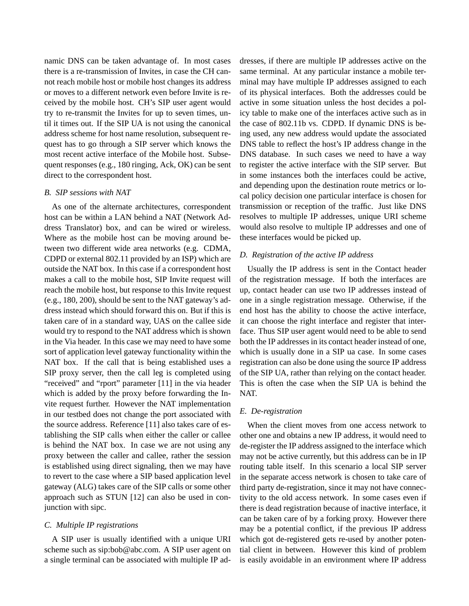namic DNS can be taken advantage of. In most cases there is a re-transmission of Invites, in case the CH cannot reach mobile host or mobile host changes its address or moves to a different network even before Invite is received by the mobile host. CH's SIP user agent would try to re-transmit the Invites for up to seven times, until it times out. If the SIP UA is not using the canonical address scheme for host name resolution, subsequent request has to go through a SIP server which knows the most recent active interface of the Mobile host. Subsequent responses (e.g., 180 ringing, Ack, OK) can be sent direct to the correspondent host.

#### *B. SIP sessions with NAT*

As one of the alternate architectures, correspondent host can be within a LAN behind a NAT (Network Address Translator) box, and can be wired or wireless. Where as the mobile host can be moving around between two different wide area networks (e.g. CDMA, CDPD or external 802.11 provided by an ISP) which are outside the NAT box. In this case if a correspondent host makes a call to the mobile host, SIP Invite request will reach the mobile host, but response to this Invite request (e.g., 180, 200), should be sent to the NAT gateway's address instead which should forward this on. But if this is taken care of in a standard way, UAS on the callee side would try to respond to the NAT address which is shown in the Via header. In this case we may need to have some sort of application level gateway functionality within the NAT box. If the call that is being established uses a SIP proxy server, then the call leg is completed using "received" and "rport" parameter [11] in the via header which is added by the proxy before forwarding the Invite request further. However the NAT implementation in our testbed does not change the port associated with the source address. Reference [11] also takes care of establishing the SIP calls when either the caller or callee is behind the NAT box. In case we are not using any proxy between the caller and callee, rather the session is established using direct signaling, then we may have to revert to the case where a SIP based application level gateway (ALG) takes care of the SIP calls or some other approach such as STUN [12] can also be used in conjunction with sipc.

### *C. Multiple IP registrations*

A SIP user is usually identified with a unique URI scheme such as sip:bob@abc.com. A SIP user agent on a single terminal can be associated with multiple IP addresses, if there are multiple IP addresses active on the same terminal. At any particular instance a mobile terminal may have multiple IP addresses assigned to each of its physical interfaces. Both the addresses could be active in some situation unless the host decides a policy table to make one of the interfaces active such as in the case of 802.11b vs. CDPD. If dynamic DNS is being used, any new address would update the associated DNS table to reflect the host's IP address change in the DNS database. In such cases we need to have a way to register the active interface with the SIP server. But in some instances both the interfaces could be active, and depending upon the destination route metrics or local policy decision one particular interface is chosen for transmission or reception of the traffic. Just like DNS resolves to multiple IP addresses, unique URI scheme would also resolve to multiple IP addresses and one of these interfaces would be picked up.

# *D. Registration of the active IP address*

Usually the IP address is sent in the Contact header of the registration message. If both the interfaces are up, contact header can use two IP addresses instead of one in a single registration message. Otherwise, if the end host has the ability to choose the active interface, it can choose the right interface and register that interface. Thus SIP user agent would need to be able to send both the IP addresses in its contact header instead of one, which is usually done in a SIP ua case. In some cases registration can also be done using the source IP address of the SIP UA, rather than relying on the contact header. This is often the case when the SIP UA is behind the NAT.

#### *E. De-registration*

When the client moves from one access network to other one and obtains a new IP address, it would need to de-register the IP address assigned to the interface which may not be active currently, but this address can be in IP routing table itself. In this scenario a local SIP server in the separate access network is chosen to take care of third party de-registration, since it may not have connectivity to the old access network. In some cases even if there is dead registration because of inactive interface, it can be taken care of by a forking proxy. However there may be a potential conflict, if the previous IP address which got de-registered gets re-used by another potential client in between. However this kind of problem is easily avoidable in an environment where IP address